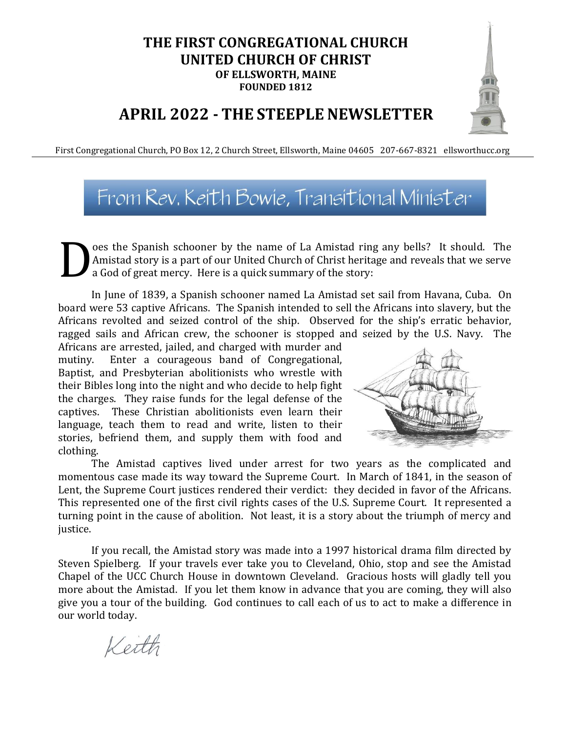### **THE FIRST CONGREGATIONAL CHURCH UNITED CHURCH OF CHRIST OF ELLSWORTH, MAINE FOUNDED 1812**

### **APRIL 2022 - THE STEEPLE NEWSLETTER**

First Congregational Church, PO Box 12, 2 Church Street, Ellsworth, Maine 04605 207-667-8321 ellsworthucc.org

### From Rev. Keith Bowie, Transitional Minister

oes the Spanish schooner by the name of La Amistad ring any bells? It should. The Amistad story is a part of our United Church of Christ heritage and reveals that we serve a God of great mercy. Here is a quick summary of the story: D

In June of 1839, a Spanish schooner named La Amistad set sail from Havana, Cuba. On board were 53 captive Africans. The Spanish intended to sell the Africans into slavery, but the Africans revolted and seized control of the ship. Observed for the ship's erratic behavior, ragged sails and African crew, the schooner is stopped and seized by the U.S. Navy. The

Africans are arrested, jailed, and charged with murder and mutiny. Enter a courageous band of Congregational, Baptist, and Presbyterian abolitionists who wrestle with their Bibles long into the night and who decide to help fight the charges. They raise funds for the legal defense of the captives. These Christian abolitionists even learn their language, teach them to read and write, listen to their stories, befriend them, and supply them with food and clothing.



The Amistad captives lived under arrest for two years as the complicated and momentous case made its way toward the Supreme Court. In March of 1841, in the season of Lent, the Supreme Court justices rendered their verdict: they decided in favor of the Africans. This represented one of the first civil rights cases of the U.S. Supreme Court. It represented a turning point in the cause of abolition. Not least, it is a story about the triumph of mercy and justice.

If you recall, the Amistad story was made into a 1997 historical drama film directed by Steven Spielberg. If your travels ever take you to Cleveland, Ohio, stop and see the Amistad Chapel of the UCC Church House in downtown Cleveland. Gracious hosts will gladly tell you more about the Amistad. If you let them know in advance that you are coming, they will also give you a tour of the building. God continues to call each of us to act to make a difference in our world today.

Keith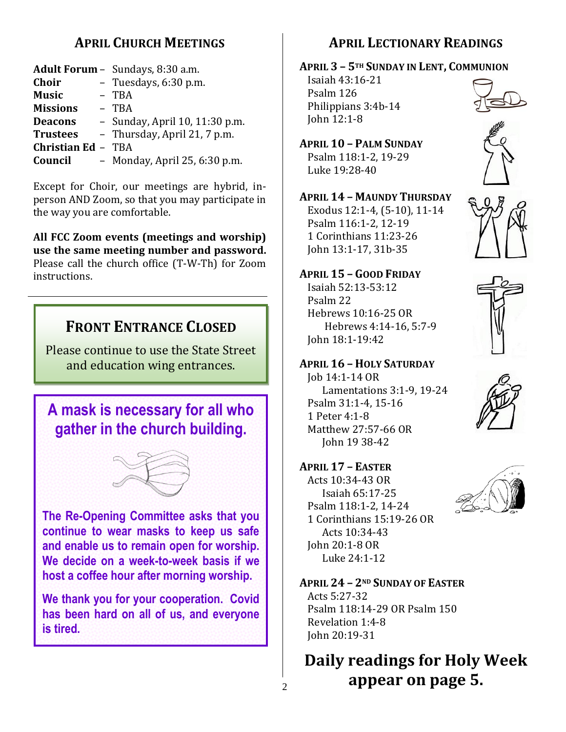### **APRIL CHURCH MEETINGS**

|                           | Adult Forum - Sundays, 8:30 a.m. |
|---------------------------|----------------------------------|
| Choir                     | - Tuesdays, 6:30 p.m.            |
| <b>Music</b>              | - TBA                            |
| <b>Missions</b>           | - TBA                            |
| <b>Deacons</b>            | - Sunday, April 10, 11:30 p.m.   |
| <b>Trustees</b>           | - Thursday, April 21, 7 p.m.     |
| <b>Christian Ed - TBA</b> |                                  |
| Council                   | - Monday, April 25, 6:30 p.m.    |

Except for Choir, our meetings are hybrid, inperson AND Zoom, so that you may participate in the way you are comfortable.

**All FCC Zoom events (meetings and worship) use the same meeting number and password.** Please call the church office (T-W-Th) for Zoom instructions.

### **FRONT ENTRANCE CLOSED**

Please continue to use the State Street and education wing entrances.





**The Re-Opening Committee asks that you continue to wear masks to keep us safe and enable us to remain open for worship. We decide on a week-to-week basis if we host a coffee hour after morning worship.**

**We thank you for your cooperation. Covid has been hard on all of us, and everyone is tired.**

### **APRIL LECTIONARY READINGS**

**APRIL 3 – 5TH SUNDAY IN LENT, COMMUNION**

Isaiah 43:16-21 Psalm 126 Philippians 3:4b-14 John 12:1-8



**APRIL 10 – PALM SUNDAY** Psalm 118:1-2, 19-29 Luke 19:28-40

**APRIL 14 – MAUNDY THURSDAY** Exodus 12:1-4, (5-10), 11-14 Psalm 116:1-2, 12-19 1 Corinthians 11:23-26 John 13:1-17, 31b-35

**APRIL 15 – GOOD FRIDAY** Isaiah 52:13-53:12 Psalm 22 Hebrews 10:16-25 OR John 18:1-19:42



Hebrews 4:14-16, 5:7-9



Job 14:1-14 OR Lamentations 3:1-9, 19-24 Psalm 31:1-4, 15-16 1 Peter 4:1-8 Matthew 27:57-66 OR John 19 38-42



John 20:19-31

Acts 10:34-43 OR Isaiah 65:17-25 Psalm 118:1-2, 14-24 1 Corinthians 15:19-26 OR Acts 10:34-43 John 20:1-8 OR Luke 24:1-12



**APRIL 24 – 2ND SUNDAY OF EASTER** Acts 5:27-32 Psalm 118:14-29 OR Psalm 150 Revelation 1:4-8

### **Daily readings for Holy Week appear on page 5.**

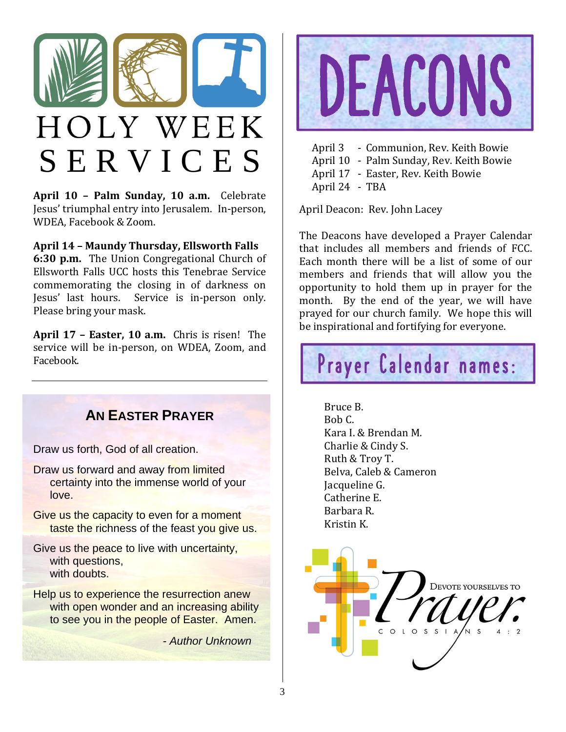

# HOLY WEEK S E R V I C E S

**April 10 – Palm Sunday, 10 a.m.** Celebrate Jesus' triumphal entry into Jerusalem. In-person, WDEA, Facebook & Zoom.

#### **April 14 – Maundy Thursday, Ellsworth Falls**

**6:30 p.m.** The Union Congregational Church of Ellsworth Falls UCC hosts this Tenebrae Service commemorating the closing in of darkness on Jesus' last hours. Service is in-person only. Please bring your mask.

**April 17 – Easter, 10 a.m.** Chris is risen! The service will be in-person, on WDEA, Zoom, and Facebook.

### **AN EASTER PRAYER**

Draw us forth, God of all creation.

- Draw us forward and away from limited certainty into the immense world of your love.
- Give us the capacity to even for a moment taste the richness of the feast you give us.
- Give us the peace to live with uncertainty, with questions. with doubts.
- Help us to experience the resurrection anew with open wonder and an increasing ability to see you in the people of Easter. Amen.

 *- Author Unknown*



April 3 - Communion, Rev. Keith Bowie April 10 - Palm Sunday, Rev. Keith Bowie April 17 - Easter, Rev. Keith Bowie April 24 - TBA

April Deacon: Rev. John Lacey

The Deacons have developed a Prayer Calendar that includes all members and friends of FCC. Each month there will be a list of some of our members and friends that will allow you the opportunity to hold them up in prayer for the month. By the end of the year, we will have prayed for our church family. We hope this will be inspirational and fortifying for everyone.



Bruce B. Bob C. Kara I. & Brendan M. Charlie & Cindy S. Ruth & Troy T. Belva, Caleb & Cameron Jacqueline G. Catherine E. Barbara R. Kristin K.

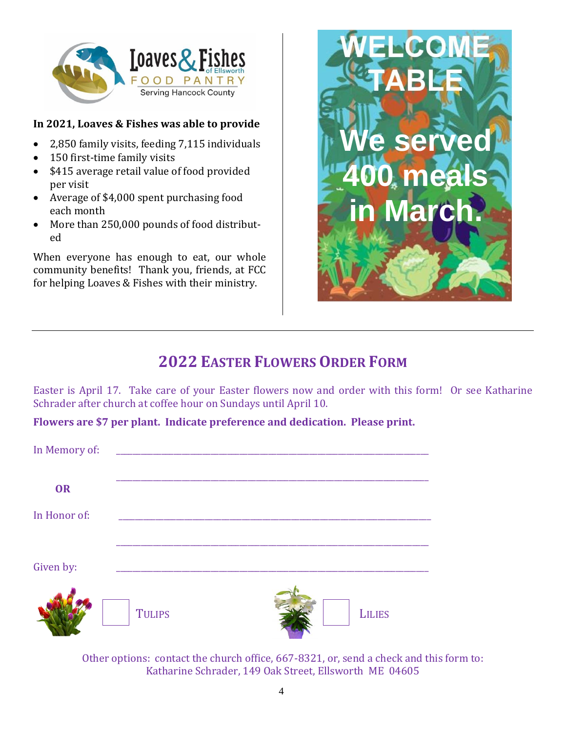

### **In 2021, Loaves & Fishes was able to provide**

- 2,850 family visits, feeding 7,115 individuals
- 150 first-time family visits
- \$415 average retail value of food provided per visit
- Average of \$4,000 spent purchasing food each month
- More than 250,000 pounds of food distributed

When everyone has enough to eat, our whole community benefits! Thank you, friends, at FCC for helping Loaves & Fishes with their ministry.



### **2022 EASTER FLOWERS ORDER FORM**

Easter is April 17. Take care of your Easter flowers now and order with this form! Or see Katharine Schrader after church at coffee hour on Sundays until April 10.

**Flowers are \$7 per plant. Indicate preference and dedication. Please print.**

| In Memory of: |               |               |
|---------------|---------------|---------------|
| OR            |               |               |
| In Honor of:  |               |               |
| Given by:     |               |               |
|               | <b>TULIPS</b> | <b>LILIES</b> |

Other options: contact the church office, 667-8321, or, send a check and this form to: Katharine Schrader, 149 Oak Street, Ellsworth ME 04605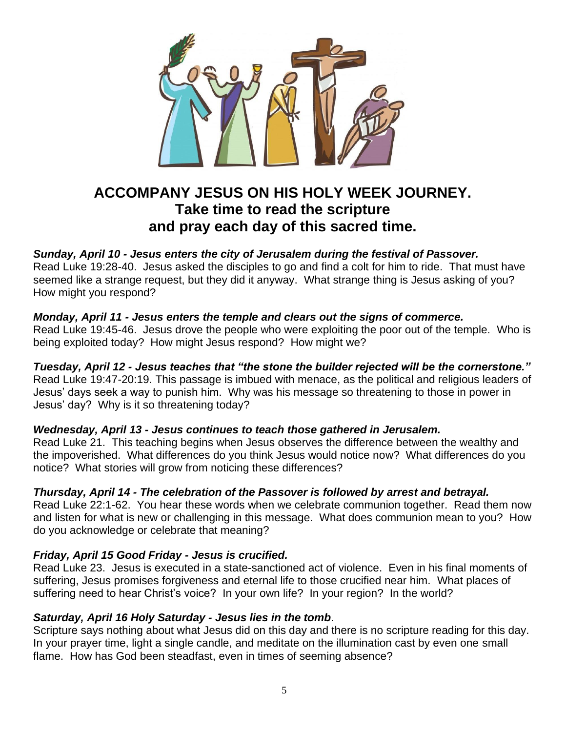

### **ACCOMPANY JESUS ON HIS HOLY WEEK JOURNEY. Take time to read the scripture and pray each day of this sacred time.**

#### *Sunday, April 10 - Jesus enters the city of Jerusalem during the festival of Passover.*

Read Luke 19:28-40. Jesus asked the disciples to go and find a colt for him to ride. That must have seemed like a strange request, but they did it anyway. What strange thing is Jesus asking of you? How might you respond?

#### *Monday, April 11 - Jesus enters the temple and clears out the signs of commerce.*

Read Luke 19:45-46. Jesus drove the people who were exploiting the poor out of the temple. Who is being exploited today? How might Jesus respond? How might we?

#### *Tuesday, April 12 - Jesus teaches that "the stone the builder rejected will be the cornerstone."*

Read Luke 19:47-20:19. This passage is imbued with menace, as the political and religious leaders of Jesus' days seek a way to punish him. Why was his message so threatening to those in power in Jesus' day? Why is it so threatening today?

#### *Wednesday, April 13 - Jesus continues to teach those gathered in Jerusalem.*

Read Luke 21. This teaching begins when Jesus observes the difference between the wealthy and the impoverished. What differences do you think Jesus would notice now? What differences do you notice? What stories will grow from noticing these differences?

#### *Thursday, April 14 - The celebration of the Passover is followed by arrest and betrayal.*

Read Luke 22:1-62. You hear these words when we celebrate communion together. Read them now and listen for what is new or challenging in this message. What does communion mean to you? How do you acknowledge or celebrate that meaning?

#### *Friday, April 15 Good Friday - Jesus is crucified.*

Read Luke 23. Jesus is executed in a state-sanctioned act of violence. Even in his final moments of suffering, Jesus promises forgiveness and eternal life to those crucified near him. What places of suffering need to hear Christ's voice? In your own life? In your region? In the world?

#### *Saturday, April 16 Holy Saturday - Jesus lies in the tomb*.

Scripture says nothing about what Jesus did on this day and there is no scripture reading for this day. In your prayer time, light a single candle, and meditate on the illumination cast by even one small flame. How has God been steadfast, even in times of seeming absence?